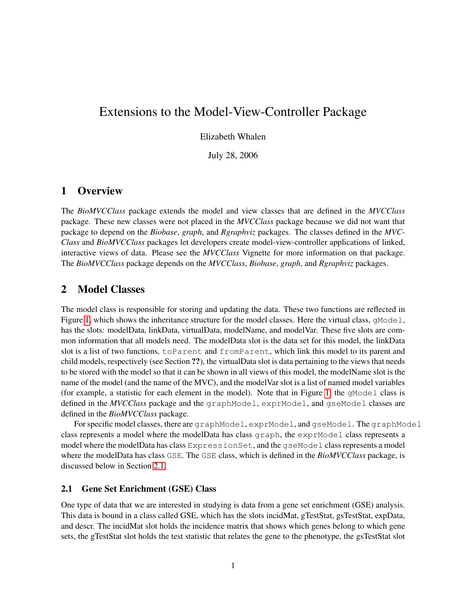# Extensions to the Model-View-Controller Package

Elizabeth Whalen

July 28, 2006

## 1 Overview

The *BioMVCClass* package extends the model and view classes that are defined in the *MVCClass* package. These new classes were not placed in the *MVCClass* package because we did not want that package to depend on the *Biobase*, *graph*, and *Rgraphviz* packages. The classes defined in the *MVC-Class* and *BioMVCClass* packages let developers create model-view-controller applications of linked, interactive views of data. Please see the *MVCClass* Vignette for more information on that package. The *BioMVCClass* package depends on the *MVCClass*, *Biobase*, *graph*, and *Rgraphviz* packages.

## 2 Model Classes

The model class is responsible for storing and updating the data. These two functions are reflected in Figure [1,](#page-1-0) which shows the inheritance structure for the model classes. Here the virtual class,  $q \text{Model}$ , has the slots: modelData, linkData, virtualData, modelName, and modelVar. These five slots are common information that all models need. The modelData slot is the data set for this model, the linkData slot is a list of two functions, toParent and fromParent, which link this model to its parent and child models, respectively (see Section ??), the virtualData slot is data pertaining to the views that needs to be stored with the model so that it can be shown in all views of this model, the modelName slot is the name of the model (and the name of the MVC), and the modelVar slot is a list of named model variables (for example, a statistic for each element in the model). Note that in Figure [1,](#page-1-0) the  $q$ Model class is defined in the *MVCClass* package and the graphModel, exprModel, and gseModel classes are defined in the *BioMVCClass* package.

For specific model classes, there are graphModel, exprModel, and gseModel. The graphModel class represents a model where the modelData has class graph, the exprModel class represents a model where the modelData has class ExpressionSet, and the qseModel class represents a model where the modelData has class GSE. The GSE class, which is defined in the *BioMVCClass* package, is discussed below in Section [2.1.](#page-0-0)

#### <span id="page-0-0"></span>2.1 Gene Set Enrichment (GSE) Class

One type of data that we are interested in studying is data from a gene set enrichment (GSE) analysis. This data is bound in a class called GSE, which has the slots incidMat, gTestStat, gsTestStat, expData, and descr. The incidMat slot holds the incidence matrix that shows which genes belong to which gene sets, the gTestStat slot holds the test statistic that relates the gene to the phenotype, the gsTestStat slot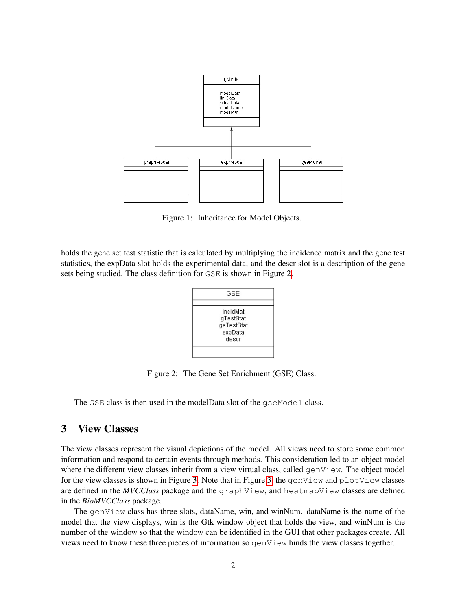

<span id="page-1-0"></span>Figure 1: Inheritance for Model Objects.

holds the gene set test statistic that is calculated by multiplying the incidence matrix and the gene test statistics, the expData slot holds the experimental data, and the descr slot is a description of the gene sets being studied. The class definition for GSE is shown in Figure [2.](#page-1-1)



<span id="page-1-1"></span>Figure 2: The Gene Set Enrichment (GSE) Class.

The GSE class is then used in the modelData slot of the gseModel class.

## 3 View Classes

The view classes represent the visual depictions of the model. All views need to store some common information and respond to certain events through methods. This consideration led to an object model where the different view classes inherit from a view virtual class, called genView. The object model for the view classes is shown in Figure [3.](#page-2-0) Note that in Figure [3,](#page-2-0) the genView and plotView classes are defined in the *MVCClass* package and the graphView, and heatmapView classes are defined in the *BioMVCClass* package.

The genView class has three slots, dataName, win, and winNum. dataName is the name of the model that the view displays, win is the Gtk window object that holds the view, and winNum is the number of the window so that the window can be identified in the GUI that other packages create. All views need to know these three pieces of information so genView binds the view classes together.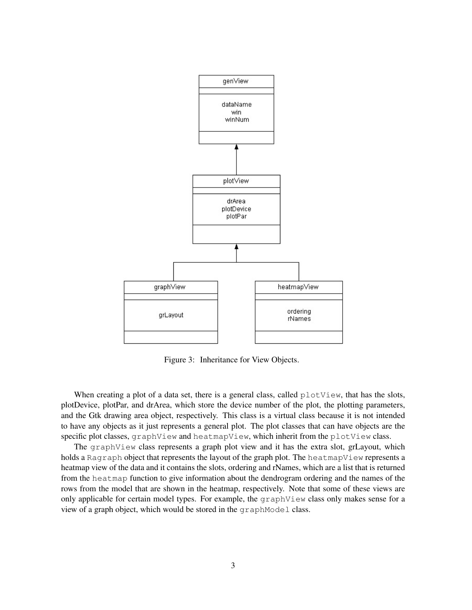

<span id="page-2-0"></span>Figure 3: Inheritance for View Objects.

When creating a plot of a data set, there is a general class, called  $plotView$ , that has the slots, plotDevice, plotPar, and drArea, which store the device number of the plot, the plotting parameters, and the Gtk drawing area object, respectively. This class is a virtual class because it is not intended to have any objects as it just represents a general plot. The plot classes that can have objects are the specific plot classes, graphView and heatmapView, which inherit from the plotView class.

The graphView class represents a graph plot view and it has the extra slot, grLayout, which holds a Ragraph object that represents the layout of the graph plot. The heatmapView represents a heatmap view of the data and it contains the slots, ordering and rNames, which are a list that is returned from the heatmap function to give information about the dendrogram ordering and the names of the rows from the model that are shown in the heatmap, respectively. Note that some of these views are only applicable for certain model types. For example, the graphView class only makes sense for a view of a graph object, which would be stored in the graphModel class.